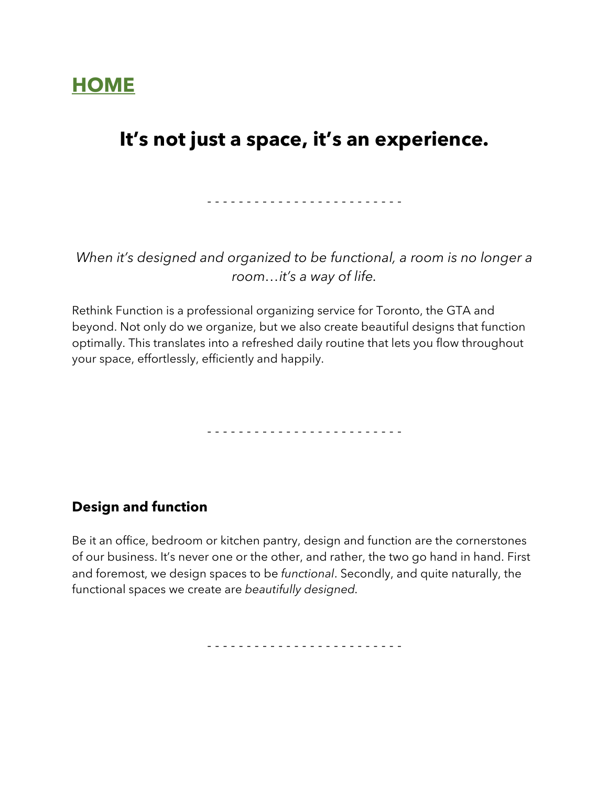# **HOME**

## **It's not just a space, it's an experience.**

- - - - - - - - - - - - - - - - - - - - - - - - -

*When it's designed and organized to be functional, a room is no longer a room…it's a way of life.*

Rethink Function is a professional organizing service for Toronto, the GTA and beyond. Not only do we organize, but we also create beautiful designs that function optimally. This translates into a refreshed daily routine that lets you flow throughout your space, effortlessly, efficiently and happily.

- - - - - - - - - - - - - - - - - - - - - - - - -

## **Design and function**

Be it an office, bedroom or kitchen pantry, design and function are the cornerstones of our business. It's never one or the other, and rather, the two go hand in hand. First and foremost, we design spaces to be *functional*. Secondly, and quite naturally, the functional spaces we create are *beautifully designed.*

- - - - - - - - - - - - - - - - - - - - - - - - -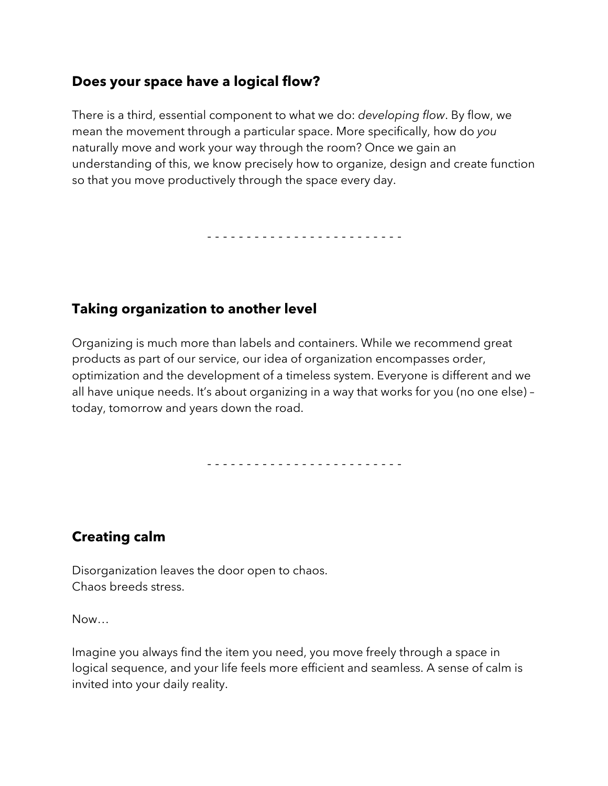## **Does your space have a logical flow?**

There is a third, essential component to what we do: *developing flow*. By flow, we mean the movement through a particular space. More specifically, how do *you*  naturally move and work your way through the room? Once we gain an understanding of this, we know precisely how to organize, design and create function so that you move productively through the space every day.

- - - - - - - - - - - - - - - - - - - - - - - - -

## **Taking organization to another level**

Organizing is much more than labels and containers. While we recommend great products as part of our service, our idea of organization encompasses order, optimization and the development of a timeless system. Everyone is different and we all have unique needs. It's about organizing in a way that works for you (no one else) – today, tomorrow and years down the road.

- - - - - - - - - - - - - - - - - - - - - - - - -

## **Creating calm**

Disorganization leaves the door open to chaos. Chaos breeds stress.

Now…

Imagine you always find the item you need, you move freely through a space in logical sequence, and your life feels more efficient and seamless. A sense of calm is invited into your daily reality.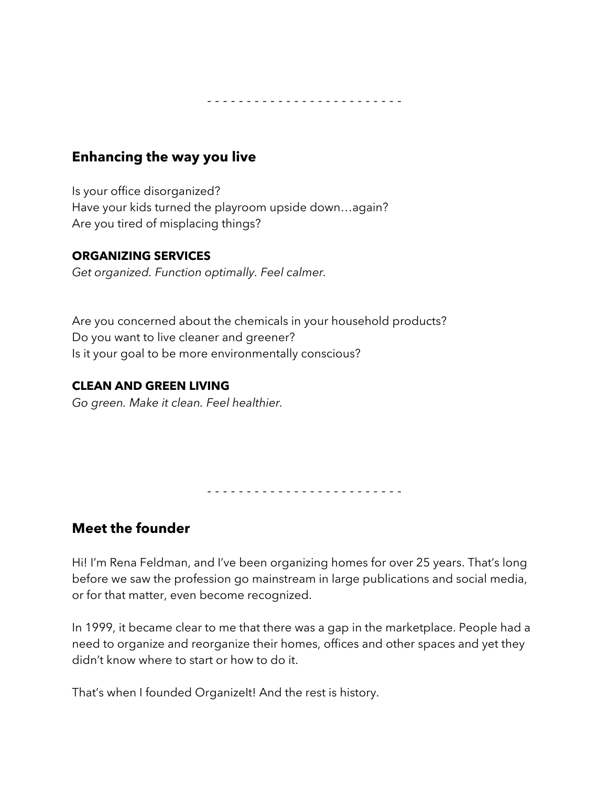- - - - - - - - - - - - - - - - - - - - - - - - -

### **Enhancing the way you live**

Is your office disorganized? Have your kids turned the playroom upside down…again? Are you tired of misplacing things?

#### **ORGANIZING SERVICES**

*Get organized. Function optimally. Feel calmer.*

Are you concerned about the chemicals in your household products? Do you want to live cleaner and greener? Is it your goal to be more environmentally conscious?

#### **CLEAN AND GREEN LIVING**

*Go green. Make it clean. Feel healthier.* 

- - - - - - - - - - - - - - - - - - - - - - - - -

### **Meet the founder**

Hi! I'm Rena Feldman, and I've been organizing homes for over 25 years. That's long before we saw the profession go mainstream in large publications and social media, or for that matter, even become recognized.

In 1999, it became clear to me that there was a gap in the marketplace. People had a need to organize and reorganize their homes, offices and other spaces and yet they didn't know where to start or how to do it.

That's when I founded OrganizeIt! And the rest is history.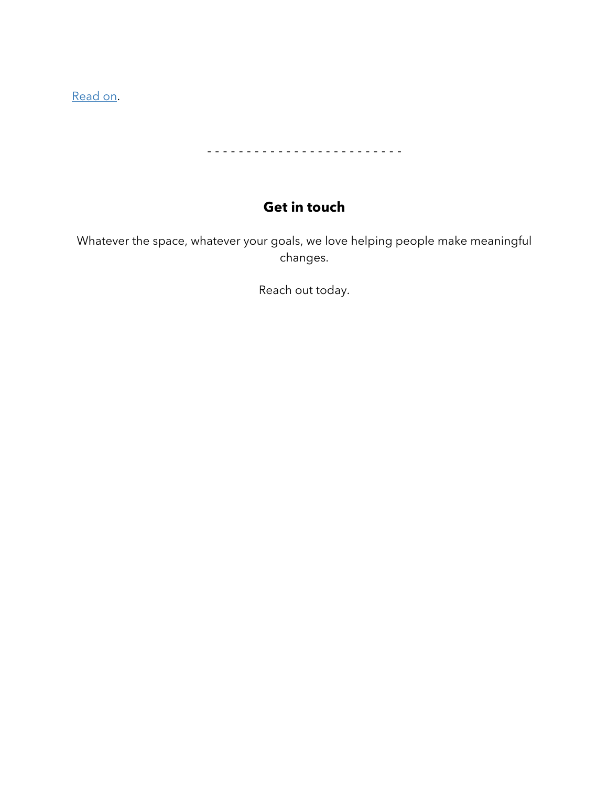Read on.

- - - - - - - - - - - - - - - - - - - - - - - - -

## **Get in touch**

Whatever the space, whatever your goals, we love helping people make meaningful changes.

Reach out today.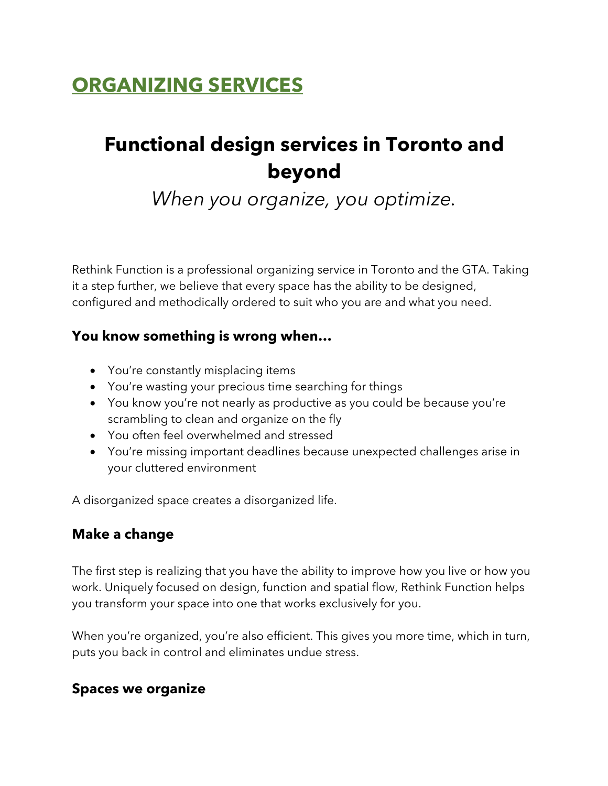# **ORGANIZING SERVICES**

# **Functional design services in Toronto and beyond**

*When you organize, you optimize.*

Rethink Function is a professional organizing service in Toronto and the GTA. Taking it a step further, we believe that every space has the ability to be designed, configured and methodically ordered to suit who you are and what you need.

### **You know something is wrong when…**

- You're constantly misplacing items
- You're wasting your precious time searching for things
- You know you're not nearly as productive as you could be because you're scrambling to clean and organize on the fly
- You often feel overwhelmed and stressed
- You're missing important deadlines because unexpected challenges arise in your cluttered environment

A disorganized space creates a disorganized life.

### **Make a change**

The first step is realizing that you have the ability to improve how you live or how you work. Uniquely focused on design, function and spatial flow, Rethink Function helps you transform your space into one that works exclusively for you.

When you're organized, you're also efficient. This gives you more time, which in turn, puts you back in control and eliminates undue stress.

### **Spaces we organize**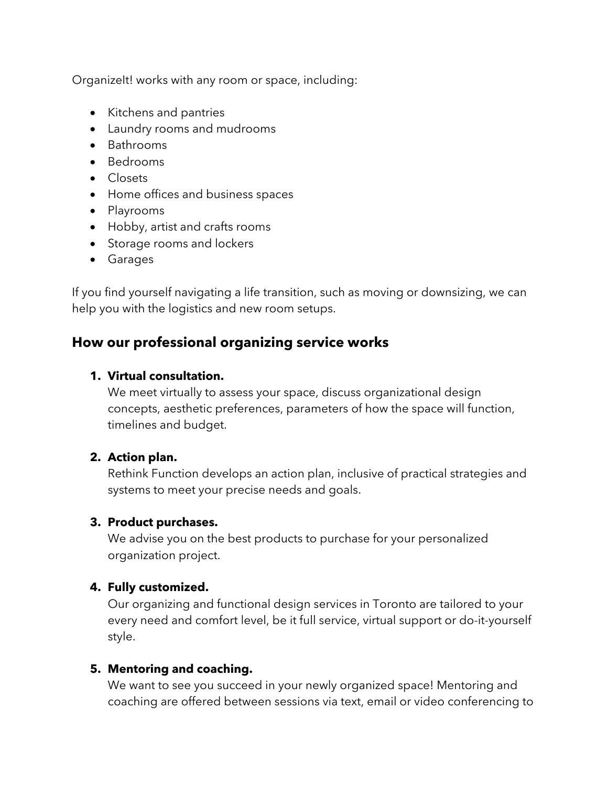Organizelt! works with any room or space, including:

- Kitchens and pantries
- Laundry rooms and mudrooms
- Bathrooms
- Bedrooms
- Closets
- Home offices and business spaces
- Playrooms
- Hobby, artist and crafts rooms
- Storage rooms and lockers
- Garages

If you find yourself navigating a life transition, such as moving or downsizing, we can help you with the logistics and new room setups.

## **How our professional organizing service works**

#### **1. Virtual consultation.**

We meet virtually to assess your space, discuss organizational design concepts, aesthetic preferences, parameters of how the space will function, timelines and budget.

#### **2. Action plan.**

Rethink Function develops an action plan, inclusive of practical strategies and systems to meet your precise needs and goals.

#### **3. Product purchases.**

We advise you on the best products to purchase for your personalized organization project.

#### **4. Fully customized.**

Our organizing and functional design services in Toronto are tailored to your every need and comfort level, be it full service, virtual support or do-it-yourself style.

#### **5. Mentoring and coaching.**

We want to see you succeed in your newly organized space! Mentoring and coaching are offered between sessions via text, email or video conferencing to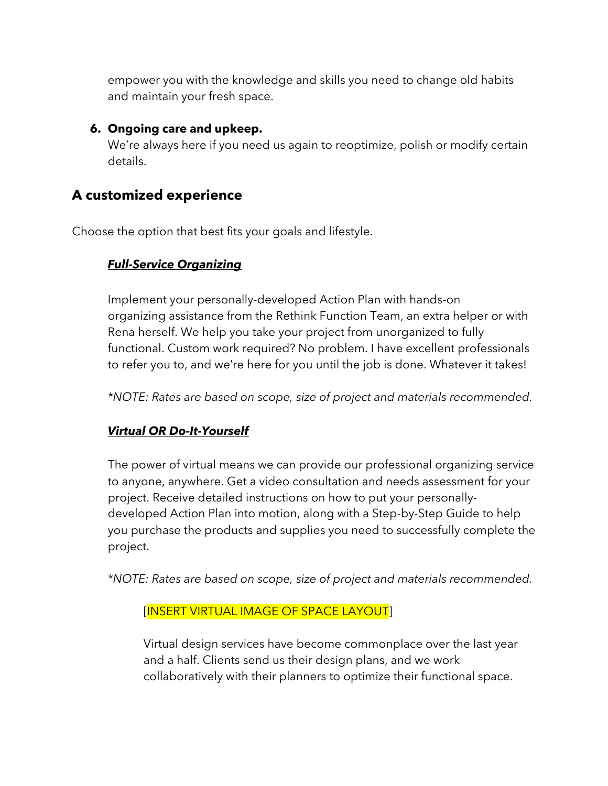empower you with the knowledge and skills you need to change old habits and maintain your fresh space.

#### **6. Ongoing care and upkeep.**

We're always here if you need us again to reoptimize, polish or modify certain details.

## **A customized experience**

Choose the option that best fits your goals and lifestyle.

#### *Full-Service Organizing*

Implement your personally-developed Action Plan with hands-on organizing assistance from the Rethink Function Team, an extra helper or with Rena herself. We help you take your project from unorganized to fully functional. Custom work required? No problem. I have excellent professionals to refer you to, and we're here for you until the job is done. Whatever it takes!

*\*NOTE: Rates are based on scope, size of project and materials recommended.*

### *Virtual OR Do-It-Yourself*

The power of virtual means we can provide our professional organizing service to anyone, anywhere. Get a video consultation and needs assessment for your project. Receive detailed instructions on how to put your personallydeveloped Action Plan into motion, along with a Step-by-Step Guide to help you purchase the products and supplies you need to successfully complete the project.

*\*NOTE: Rates are based on scope, size of project and materials recommended.*

#### [INSERT VIRTUAL IMAGE OF SPACE LAYOUT]

Virtual design services have become commonplace over the last year and a half. Clients send us their design plans, and we work collaboratively with their planners to optimize their functional space.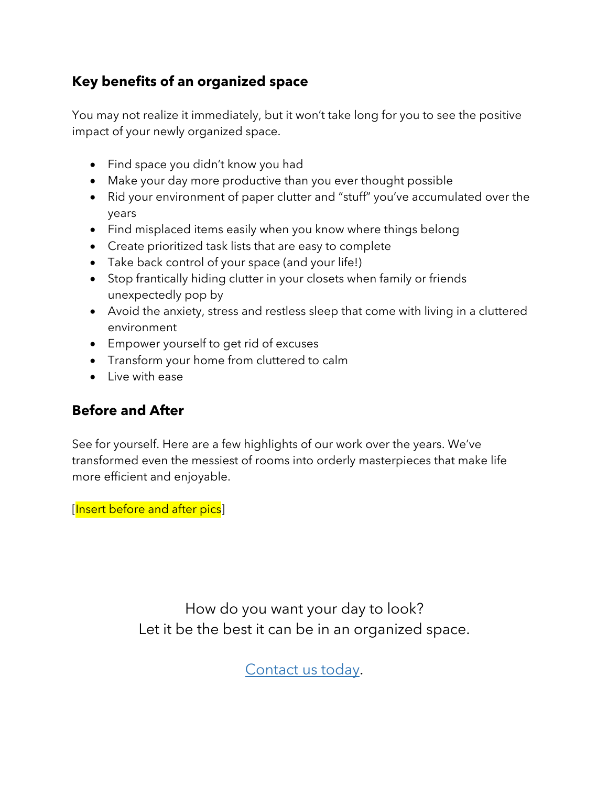## **Key benefits of an organized space**

You may not realize it immediately, but it won't take long for you to see the positive impact of your newly organized space.

- Find space you didn't know you had
- Make your day more productive than you ever thought possible
- Rid your environment of paper clutter and "stuff" you've accumulated over the years
- Find misplaced items easily when you know where things belong
- Create prioritized task lists that are easy to complete
- Take back control of your space (and your life!)
- Stop frantically hiding clutter in your closets when family or friends unexpectedly pop by
- Avoid the anxiety, stress and restless sleep that come with living in a cluttered environment
- Empower yourself to get rid of excuses
- Transform your home from cluttered to calm
- Live with ease

## **Before and After**

See for yourself. Here are a few highlights of our work over the years. We've transformed even the messiest of rooms into orderly masterpieces that make life more efficient and enjoyable.

[Insert before and after pics]

How do you want your day to look? Let it be the best it can be in an organized space.

Contact us today.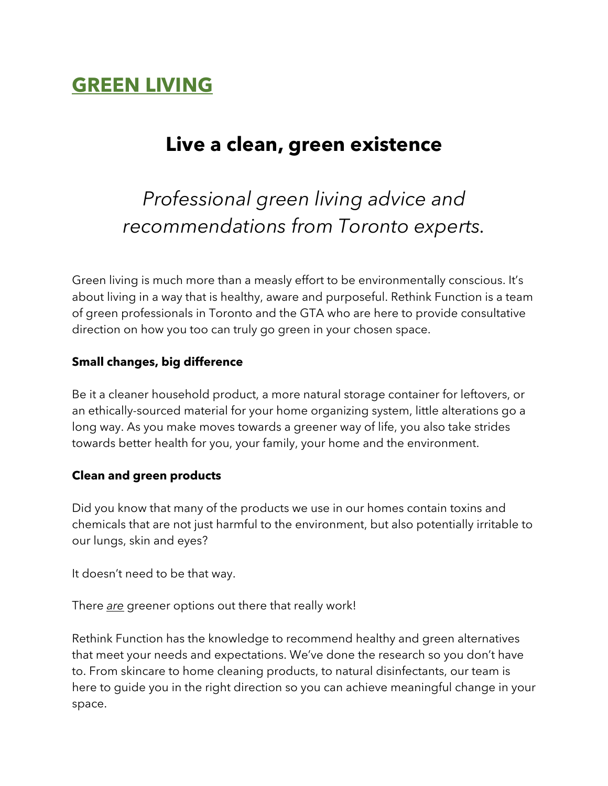# **GREEN LIVING**

## **Live a clean, green existence**

*Professional green living advice and recommendations from Toronto experts.*

Green living is much more than a measly effort to be environmentally conscious. It's about living in a way that is healthy, aware and purposeful. Rethink Function is a team of green professionals in Toronto and the GTA who are here to provide consultative direction on how you too can truly go green in your chosen space.

#### **Small changes, big difference**

Be it a cleaner household product, a more natural storage container for leftovers, or an ethically-sourced material for your home organizing system, little alterations go a long way. As you make moves towards a greener way of life, you also take strides towards better health for you, your family, your home and the environment.

#### **Clean and green products**

Did you know that many of the products we use in our homes contain toxins and chemicals that are not just harmful to the environment, but also potentially irritable to our lungs, skin and eyes?

It doesn't need to be that way.

There *are* greener options out there that really work!

Rethink Function has the knowledge to recommend healthy and green alternatives that meet your needs and expectations. We've done the research so you don't have to. From skincare to home cleaning products, to natural disinfectants, our team is here to guide you in the right direction so you can achieve meaningful change in your space.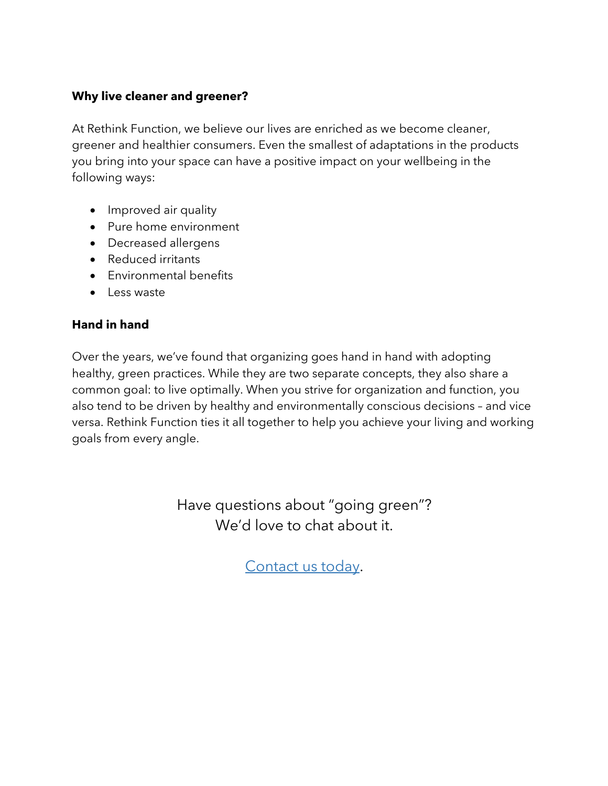#### **Why live cleaner and greener?**

At Rethink Function, we believe our lives are enriched as we become cleaner, greener and healthier consumers. Even the smallest of adaptations in the products you bring into your space can have a positive impact on your wellbeing in the following ways:

- Improved air quality
- Pure home environment
- Decreased allergens
- Reduced irritants
- Environmental benefits
- Less waste

#### **Hand in hand**

Over the years, we've found that organizing goes hand in hand with adopting healthy, green practices. While they are two separate concepts, they also share a common goal: to live optimally. When you strive for organization and function, you also tend to be driven by healthy and environmentally conscious decisions – and vice versa. Rethink Function ties it all together to help you achieve your living and working goals from every angle.

> Have questions about "going green"? We'd love to chat about it.

> > Contact us today.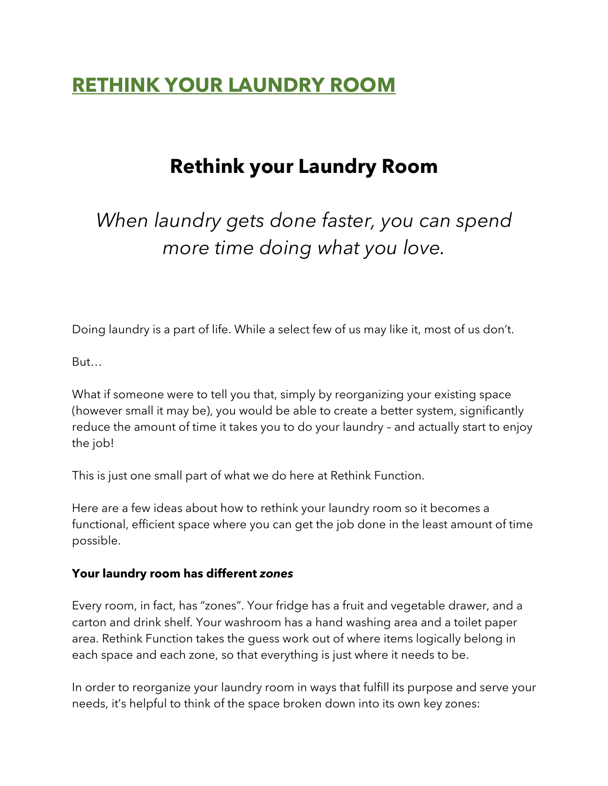## **RETHINK YOUR LAUNDRY ROOM**

## **Rethink your Laundry Room**

*When laundry gets done faster, you can spend more time doing what you love.* 

Doing laundry is a part of life. While a select few of us may like it, most of us don't.

But…

What if someone were to tell you that, simply by reorganizing your existing space (however small it may be), you would be able to create a better system, significantly reduce the amount of time it takes you to do your laundry – and actually start to enjoy the job!

This is just one small part of what we do here at Rethink Function.

Here are a few ideas about how to rethink your laundry room so it becomes a functional, efficient space where you can get the job done in the least amount of time possible.

#### **Your laundry room has different** *zones*

Every room, in fact, has "zones". Your fridge has a fruit and vegetable drawer, and a carton and drink shelf. Your washroom has a hand washing area and a toilet paper area. Rethink Function takes the guess work out of where items logically belong in each space and each zone, so that everything is just where it needs to be.

In order to reorganize your laundry room in ways that fulfill its purpose and serve your needs, it's helpful to think of the space broken down into its own key zones: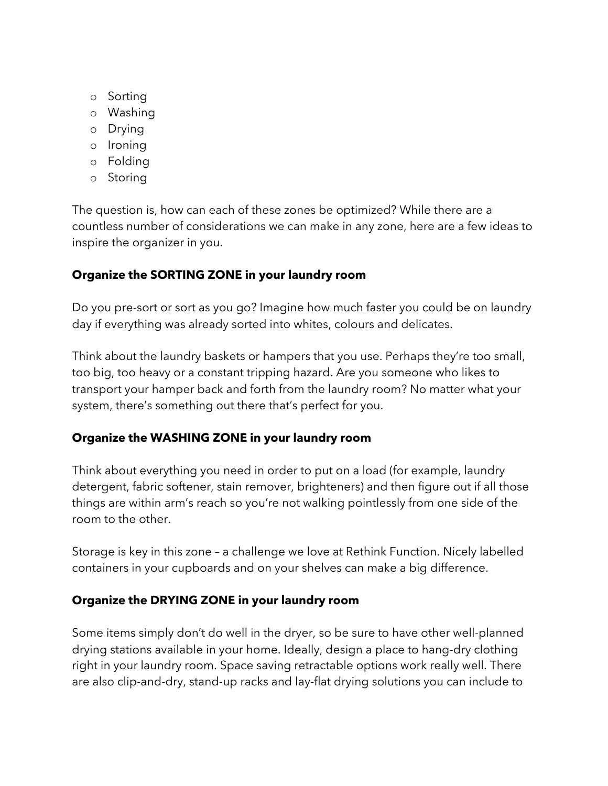- o Sorting
- o Washing
- o Drying
- o Ironing
- o Folding
- o Storing

The question is, how can each of these zones be optimized? While there are a countless number of considerations we can make in any zone, here are a few ideas to inspire the organizer in you.

### **Organize the SORTING ZONE in your laundry room**

Do you pre-sort or sort as you go? Imagine how much faster you could be on laundry day if everything was already sorted into whites, colours and delicates.

Think about the laundry baskets or hampers that you use. Perhaps they're too small, too big, too heavy or a constant tripping hazard. Are you someone who likes to transport your hamper back and forth from the laundry room? No matter what your system, there's something out there that's perfect for you.

### **Organize the WASHING ZONE in your laundry room**

Think about everything you need in order to put on a load (for example, laundry detergent, fabric softener, stain remover, brighteners) and then figure out if all those things are within arm's reach so you're not walking pointlessly from one side of the room to the other.

Storage is key in this zone – a challenge we love at Rethink Function. Nicely labelled containers in your cupboards and on your shelves can make a big difference.

### **Organize the DRYING ZONE in your laundry room**

Some items simply don't do well in the dryer, so be sure to have other well-planned drying stations available in your home. Ideally, design a place to hang-dry clothing right in your laundry room. Space saving retractable options work really well. There are also clip-and-dry, stand-up racks and lay-flat drying solutions you can include to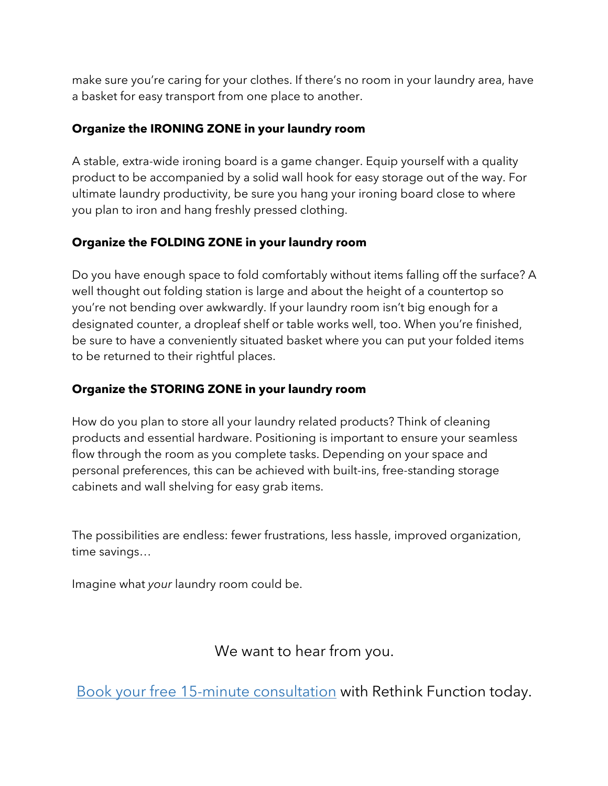make sure you're caring for your clothes. If there's no room in your laundry area, have a basket for easy transport from one place to another.

### **Organize the IRONING ZONE in your laundry room**

A stable, extra-wide ironing board is a game changer. Equip yourself with a quality product to be accompanied by a solid wall hook for easy storage out of the way. For ultimate laundry productivity, be sure you hang your ironing board close to where you plan to iron and hang freshly pressed clothing.

### **Organize the FOLDING ZONE in your laundry room**

Do you have enough space to fold comfortably without items falling off the surface? A well thought out folding station is large and about the height of a countertop so you're not bending over awkwardly. If your laundry room isn't big enough for a designated counter, a dropleaf shelf or table works well, too. When you're finished, be sure to have a conveniently situated basket where you can put your folded items to be returned to their rightful places.

## **Organize the STORING ZONE in your laundry room**

How do you plan to store all your laundry related products? Think of cleaning products and essential hardware. Positioning is important to ensure your seamless flow through the room as you complete tasks. Depending on your space and personal preferences, this can be achieved with built-ins, free-standing storage cabinets and wall shelving for easy grab items.

The possibilities are endless: fewer frustrations, less hassle, improved organization, time savings…

Imagine what *your* laundry room could be.

We want to hear from you.

Book your free 15-minute consultation with Rethink Function today.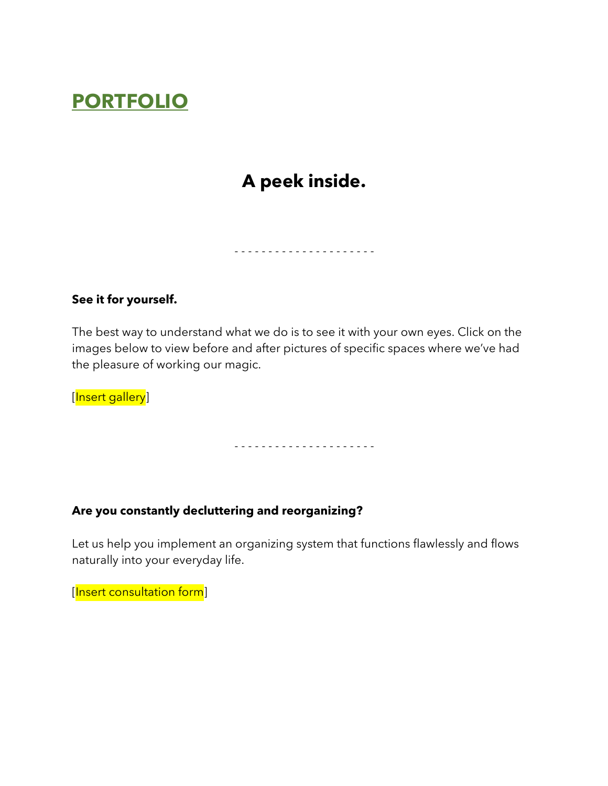# **PORTFOLIO**

## **A peek inside.**

- - - - - - - - - - - - - - - - - - - - -

#### **See it for yourself.**

The best way to understand what we do is to see it with your own eyes. Click on the images below to view before and after pictures of specific spaces where we've had the pleasure of working our magic.

[Insert gallery]

- - - - - - - - - - - - - - - - - - - - -

#### **Are you constantly decluttering and reorganizing?**

Let us help you implement an organizing system that functions flawlessly and flows naturally into your everyday life.

[Insert consultation form]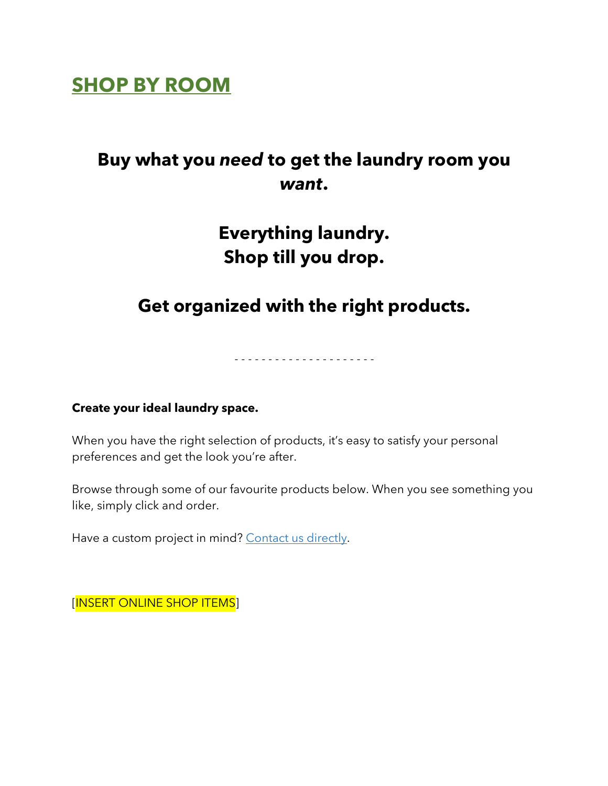## **SHOP BY ROOM**

## **Buy what you** *need* **to get the laundry room you**  *want***.**

## **Everything laundry. Shop till you drop.**

## **Get organized with the right products.**

- - - - - - - - - - - - - - - - - - - - -

#### **Create your ideal laundry space.**

When you have the right selection of products, it's easy to satisfy your personal preferences and get the look you're after.

Browse through some of our favourite products below. When you see something you like, simply click and order.

Have a custom project in mind? Contact us directly.

[INSERT ONLINE SHOP ITEMS]